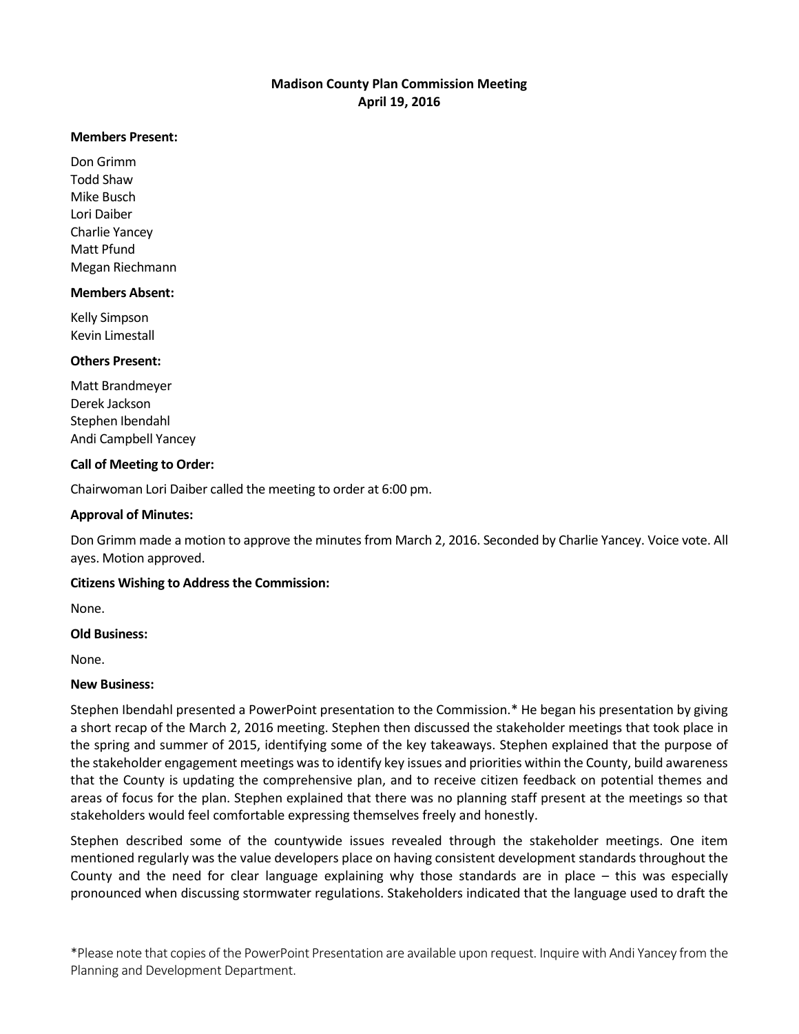## **Madison County Plan Commission Meeting April 19, 2016**

#### **Members Present:**

Don Grimm Todd Shaw Mike Busch Lori Daiber Charlie Yancey Matt Pfund Megan Riechmann

#### **Members Absent:**

Kelly Simpson Kevin Limestall

#### **Others Present:**

Matt Brandmeyer Derek Jackson Stephen Ibendahl Andi Campbell Yancey

## **Call of Meeting to Order:**

Chairwoman Lori Daiber called the meeting to order at 6:00 pm.

### **Approval of Minutes:**

Don Grimm made a motion to approve the minutes from March 2, 2016. Seconded by Charlie Yancey. Voice vote. All ayes. Motion approved.

#### **Citizens Wishing to Address the Commission:**

None.

#### **Old Business:**

None.

#### **New Business:**

Stephen Ibendahl presented a PowerPoint presentation to the Commission.\* He began his presentation by giving a short recap of the March 2, 2016 meeting. Stephen then discussed the stakeholder meetings that took place in the spring and summer of 2015, identifying some of the key takeaways. Stephen explained that the purpose of the stakeholder engagement meetings was to identify key issues and priorities within the County, build awareness that the County is updating the comprehensive plan, and to receive citizen feedback on potential themes and areas of focus for the plan. Stephen explained that there was no planning staff present at the meetings so that stakeholders would feel comfortable expressing themselves freely and honestly.

Stephen described some of the countywide issues revealed through the stakeholder meetings. One item mentioned regularly was the value developers place on having consistent development standards throughout the County and the need for clear language explaining why those standards are in place – this was especially pronounced when discussing stormwater regulations. Stakeholders indicated that the language used to draft the

\*Please note that copies of the PowerPoint Presentation are available upon request. Inquire with Andi Yancey from the Planning and Development Department.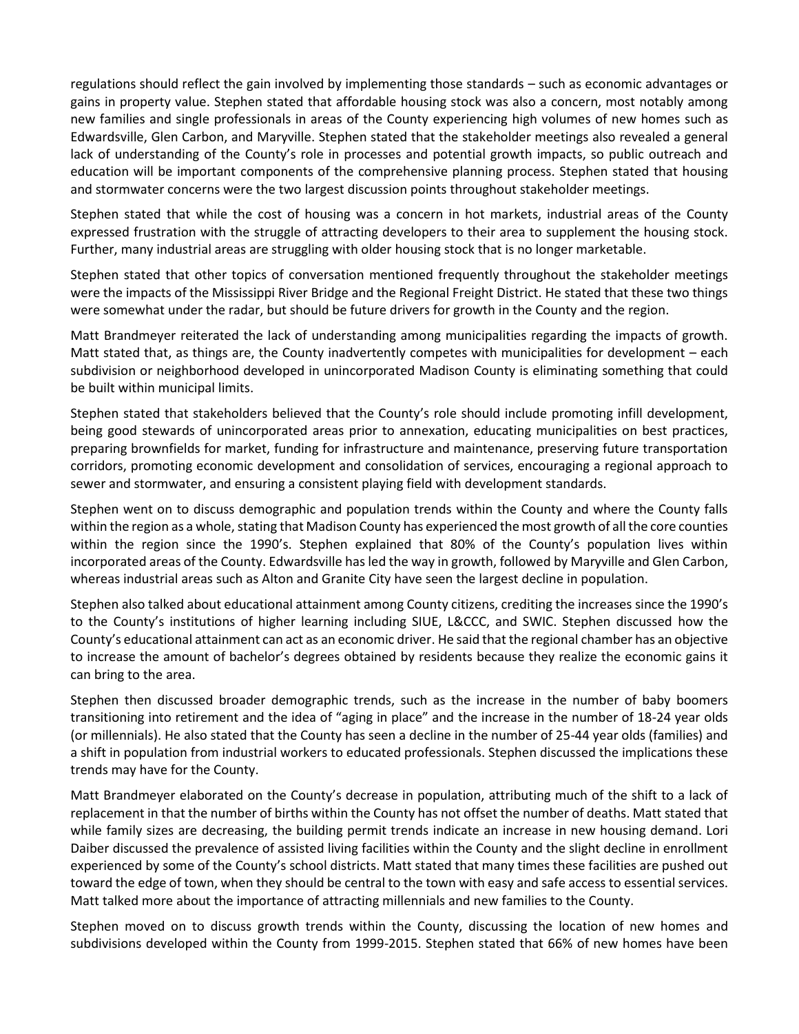regulations should reflect the gain involved by implementing those standards – such as economic advantages or gains in property value. Stephen stated that affordable housing stock was also a concern, most notably among new families and single professionals in areas of the County experiencing high volumes of new homes such as Edwardsville, Glen Carbon, and Maryville. Stephen stated that the stakeholder meetings also revealed a general lack of understanding of the County's role in processes and potential growth impacts, so public outreach and education will be important components of the comprehensive planning process. Stephen stated that housing and stormwater concerns were the two largest discussion points throughout stakeholder meetings.

Stephen stated that while the cost of housing was a concern in hot markets, industrial areas of the County expressed frustration with the struggle of attracting developers to their area to supplement the housing stock. Further, many industrial areas are struggling with older housing stock that is no longer marketable.

Stephen stated that other topics of conversation mentioned frequently throughout the stakeholder meetings were the impacts of the Mississippi River Bridge and the Regional Freight District. He stated that these two things were somewhat under the radar, but should be future drivers for growth in the County and the region.

Matt Brandmeyer reiterated the lack of understanding among municipalities regarding the impacts of growth. Matt stated that, as things are, the County inadvertently competes with municipalities for development – each subdivision or neighborhood developed in unincorporated Madison County is eliminating something that could be built within municipal limits.

Stephen stated that stakeholders believed that the County's role should include promoting infill development, being good stewards of unincorporated areas prior to annexation, educating municipalities on best practices, preparing brownfields for market, funding for infrastructure and maintenance, preserving future transportation corridors, promoting economic development and consolidation of services, encouraging a regional approach to sewer and stormwater, and ensuring a consistent playing field with development standards.

Stephen went on to discuss demographic and population trends within the County and where the County falls within the region as a whole, stating that Madison County has experienced the most growth of all the core counties within the region since the 1990's. Stephen explained that 80% of the County's population lives within incorporated areas of the County. Edwardsville has led the way in growth, followed by Maryville and Glen Carbon, whereas industrial areas such as Alton and Granite City have seen the largest decline in population.

Stephen also talked about educational attainment among County citizens, crediting the increases since the 1990's to the County's institutions of higher learning including SIUE, L&CCC, and SWIC. Stephen discussed how the County's educational attainment can act as an economic driver. He said that the regional chamber has an objective to increase the amount of bachelor's degrees obtained by residents because they realize the economic gains it can bring to the area.

Stephen then discussed broader demographic trends, such as the increase in the number of baby boomers transitioning into retirement and the idea of "aging in place" and the increase in the number of 18-24 year olds (or millennials). He also stated that the County has seen a decline in the number of 25-44 year olds (families) and a shift in population from industrial workers to educated professionals. Stephen discussed the implications these trends may have for the County.

Matt Brandmeyer elaborated on the County's decrease in population, attributing much of the shift to a lack of replacement in that the number of births within the County has not offset the number of deaths. Matt stated that while family sizes are decreasing, the building permit trends indicate an increase in new housing demand. Lori Daiber discussed the prevalence of assisted living facilities within the County and the slight decline in enrollment experienced by some of the County's school districts. Matt stated that many times these facilities are pushed out toward the edge of town, when they should be central to the town with easy and safe access to essential services. Matt talked more about the importance of attracting millennials and new families to the County.

Stephen moved on to discuss growth trends within the County, discussing the location of new homes and subdivisions developed within the County from 1999-2015. Stephen stated that 66% of new homes have been